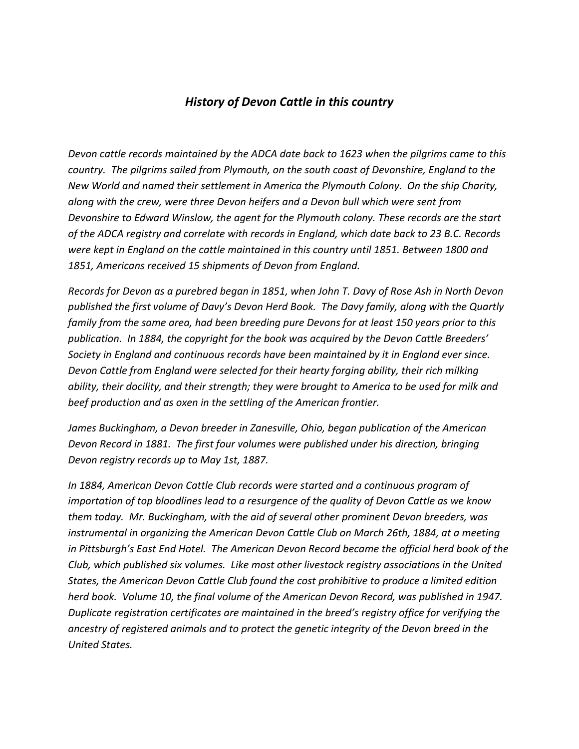## *History of Devon Cattle in this country*

*Devon cattle records maintained by the ADCA date back to 1623 when the pilgrims came to this country. The pilgrims sailed from Plymouth, on the south coast of Devonshire, England to the New World and named their settlement in America the Plymouth Colony. On the ship Charity, along with the crew, were three Devon heifers and a Devon bull which were sent from Devonshire to Edward Winslow, the agent for the Plymouth colony. These records are the start of the ADCA registry and correlate with records in England, which date back to 23 B.C. Records were kept in England on the cattle maintained in this country until 1851. Between 1800 and 1851, Americans received 15 shipments of Devon from England.*

*Records for Devon as a purebred began in 1851, when John T. Davy of Rose Ash in North Devon published the first volume of Davy's Devon Herd Book. The Davy family, along with the Quartly family from the same area, had been breeding pure Devons for at least 150 years prior to this publication. In 1884, the copyright for the book was acquired by the Devon Cattle Breeders' Society in England and continuous records have been maintained by it in England ever since. Devon Cattle from England were selected for their hearty forging ability, their rich milking ability, their docility, and their strength; they were brought to America to be used for milk and beef production and as oxen in the settling of the American frontier.*

*James Buckingham, a Devon breeder in Zanesville, Ohio, began publication of the American Devon Record in 1881. The first four volumes were published under his direction, bringing Devon registry records up to May 1st, 1887.*

*In 1884, American Devon Cattle Club records were started and a continuous program of importation of top bloodlines lead to a resurgence of the quality of Devon Cattle as we know them today. Mr. Buckingham, with the aid of several other prominent Devon breeders, was*  instrumental in organizing the American Devon Cattle Club on March 26th, 1884, at a meeting *in Pittsburgh's East End Hotel. The American Devon Record became the official herd book of the Club, which published six volumes. Like most other livestock registry associations in the United States, the American Devon Cattle Club found the cost prohibitive to produce a limited edition herd book. Volume 10, the final volume of the American Devon Record, was published in 1947. Duplicate registration certificates are maintained in the breed's registry office for verifying the ancestry of registered animals and to protect the genetic integrity of the Devon breed in the United States.*